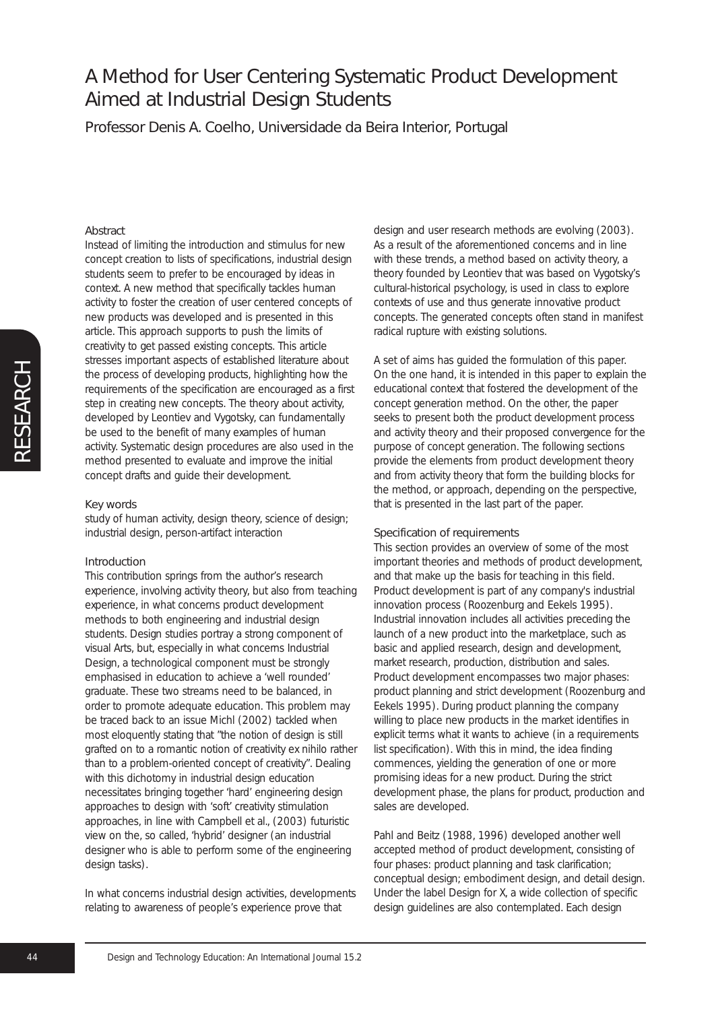Professor Denis A. Coelho, Universidade da Beira Interior, Portugal

### Abstract

Instead of limiting the introduction and stimulus for new concept creation to lists of specifications, industrial design students seem to prefer to be encouraged by ideas in context. A new method that specifically tackles human activity to foster the creation of user centered concepts of new products was developed and is presented in this article. This approach supports to push the limits of creativity to get passed existing concepts. This article stresses important aspects of established literature about the process of developing products, highlighting how the requirements of the specification are encouraged as a first step in creating new concepts. The theory about activity, developed by Leontiev and Vygotsky, can fundamentally be used to the benefit of many examples of human activity. Systematic design procedures are also used in the method presented to evaluate and improve the initial concept drafts and guide their development.

#### Key words

study of human activity, design theory, science of design; industrial design, person-artifact interaction

#### Introduction

This contribution springs from the author's research experience, involving activity theory, but also from teaching experience, in what concerns product development methods to both engineering and industrial design students. Design studies portray a strong component of visual Arts, but, especially in what concerns Industrial Design, a technological component must be strongly emphasised in education to achieve a 'well rounded' graduate. These two streams need to be balanced, in order to promote adequate education. This problem may be traced back to an issue Michl (2002) tackled when most eloquently stating that "the notion of design is still grafted on to a romantic notion of creativity *ex nihilo* rather than to a problem-oriented concept of creativity". Dealing with this dichotomy in industrial design education necessitates bringing together 'hard' engineering design approaches to design with 'soft' creativity stimulation approaches, in line with Campbell et al., (2003) futuristic view on the, so called, 'hybrid' designer (an industrial designer who is able to perform some of the engineering design tasks).

In what concerns industrial design activities, developments relating to awareness of people's experience prove that

design and user research methods are evolving (2003). As a result of the aforementioned concerns and in line with these trends, a method based on activity theory, a theory founded by Leontiev that was based on Vygotsky's cultural-historical psychology, is used in class to explore contexts of use and thus generate innovative product concepts. The generated concepts often stand in manifest radical rupture with existing solutions.

A set of aims has guided the formulation of this paper. On the one hand, it is intended in this paper to explain the educational context that fostered the development of the concept generation method. On the other, the paper seeks to present both the product development process and activity theory and their proposed convergence for the purpose of concept generation. The following sections provide the elements from product development theory and from activity theory that form the building blocks for the method, or approach, depending on the perspective, that is presented in the last part of the paper.

#### Specification of requirements

This section provides an overview of some of the most important theories and methods of product development, and that make up the basis for teaching in this field. Product development is part of any company's industrial innovation process (Roozenburg and Eekels 1995). Industrial innovation includes all activities preceding the launch of a new product into the marketplace, such as basic and applied research, design and development, market research, production, distribution and sales. Product development encompasses two major phases: product planning and strict development (Roozenburg and Eekels 1995). During product planning the company willing to place new products in the market identifies in explicit terms what it wants to achieve (in a requirements list specification). With this in mind, the idea finding commences, yielding the generation of one or more promising ideas for a new product. During the strict development phase, the plans for product, production and sales are developed.

Pahl and Beitz (1988, 1996) developed another well accepted method of product development, consisting of four phases: product planning and task clarification; conceptual design; embodiment design, and detail design. Under the label Design for X, a wide collection of specific design guidelines are also contemplated. Each design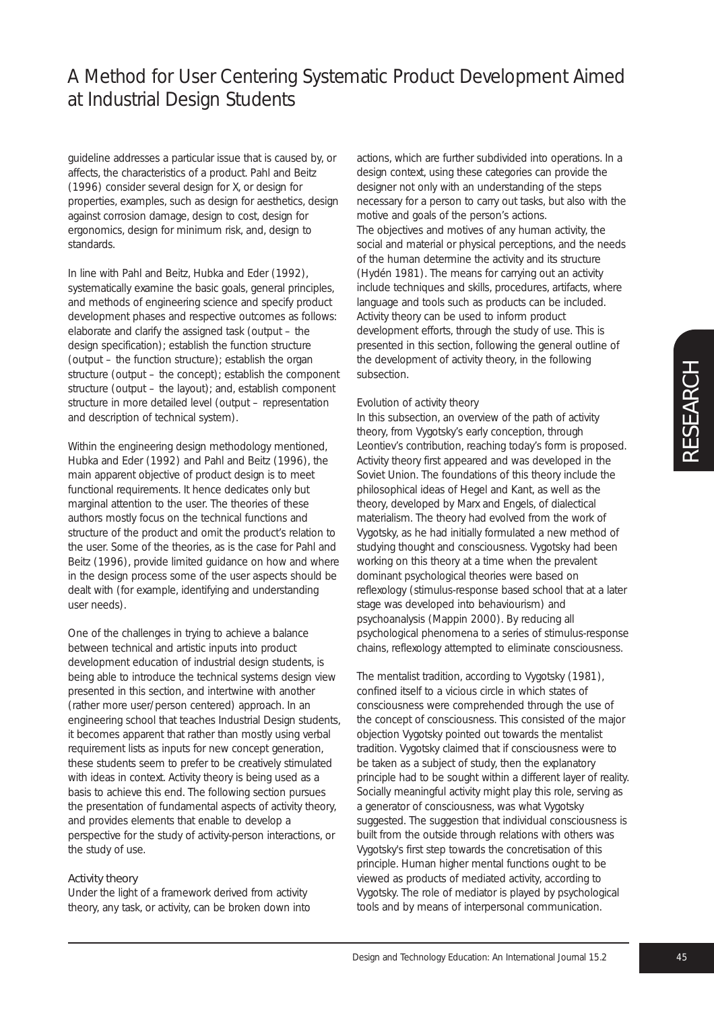guideline addresses a particular issue that is caused by, or affects, the characteristics of a product. Pahl and Beitz (1996) consider several design for X, or design for properties, examples, such as design for aesthetics, design against corrosion damage, design to cost, design for ergonomics, design for minimum risk, and, design to standards.

In line with Pahl and Beitz, Hubka and Eder (1992), systematically examine the basic goals, general principles, and methods of engineering science and specify product development phases and respective outcomes as follows: elaborate and clarify the assigned task (output – the design specification); establish the function structure (output – the function structure); establish the organ structure (output – the concept); establish the component structure (output – the layout); and, establish component structure in more detailed level (output – representation and description of technical system).

Within the engineering design methodology mentioned, Hubka and Eder (1992) and Pahl and Beitz (1996), the main apparent objective of product design is to meet functional requirements. It hence dedicates only but marginal attention to the user. The theories of these authors mostly focus on the technical functions and structure of the product and omit the product's relation to the user. Some of the theories, as is the case for Pahl and Beitz (1996), provide limited guidance on how and where in the design process some of the user aspects should be dealt with (for example, identifying and understanding user needs).

One of the challenges in trying to achieve a balance between technical and artistic inputs into product development education of industrial design students, is being able to introduce the technical systems design view presented in this section, and intertwine with another (rather more user/person centered) approach. In an engineering school that teaches Industrial Design students, it becomes apparent that rather than mostly using verbal requirement lists as inputs for new concept generation, these students seem to prefer to be creatively stimulated with ideas in context. Activity theory is being used as a basis to achieve this end. The following section pursues the presentation of fundamental aspects of activity theory, and provides elements that enable to develop a perspective for the study of activity-person interactions, or the study of use.

### Activity theory

Under the light of a framework derived from activity theory, any task, or activity, can be broken down into actions, which are further subdivided into operations. In a design context, using these categories can provide the designer not only with an understanding of the steps necessary for a person to carry out tasks, but also with the motive and goals of the person's actions.

The objectives and motives of any human activity, the social and material or physical perceptions, and the needs of the human determine the activity and its structure (Hydén 1981). The means for carrying out an activity include techniques and skills, procedures, artifacts, where language and tools such as products can be included. Activity theory can be used to inform product development efforts, through the study of use. This is presented in this section, following the general outline of the development of activity theory, in the following subsection.

#### *Evolution of activity theory*

In this subsection, an overview of the path of activity theory, from Vygotsky's early conception, through Leontiev's contribution, reaching today's form is proposed. Activity theory first appeared and was developed in the Soviet Union. The foundations of this theory include the philosophical ideas of Hegel and Kant, as well as the theory, developed by Marx and Engels, of dialectical materialism. The theory had evolved from the work of Vygotsky, as he had initially formulated a new method of studying thought and consciousness. Vygotsky had been working on this theory at a time when the prevalent dominant psychological theories were based on reflexology (stimulus-response based school that at a later stage was developed into behaviourism) and psychoanalysis (Mappin 2000). By reducing all psychological phenomena to a series of stimulus-response chains, reflexology attempted to eliminate consciousness.

The mentalist tradition, according to Vygotsky (1981), confined itself to a vicious circle in which states of consciousness were comprehended through the use of the concept of consciousness. This consisted of the major objection Vygotsky pointed out towards the mentalist tradition. Vygotsky claimed that if consciousness were to be taken as a subject of study, then the explanatory principle had to be sought within a different layer of reality. Socially meaningful activity might play this role, serving as a generator of consciousness, was what Vygotsky suggested. The suggestion that individual consciousness is built from the outside through relations with others was Vygotsky's first step towards the concretisation of this principle. Human higher mental functions ought to be viewed as products of mediated activity, according to Vygotsky. The role of mediator is played by psychological tools and by means of interpersonal communication.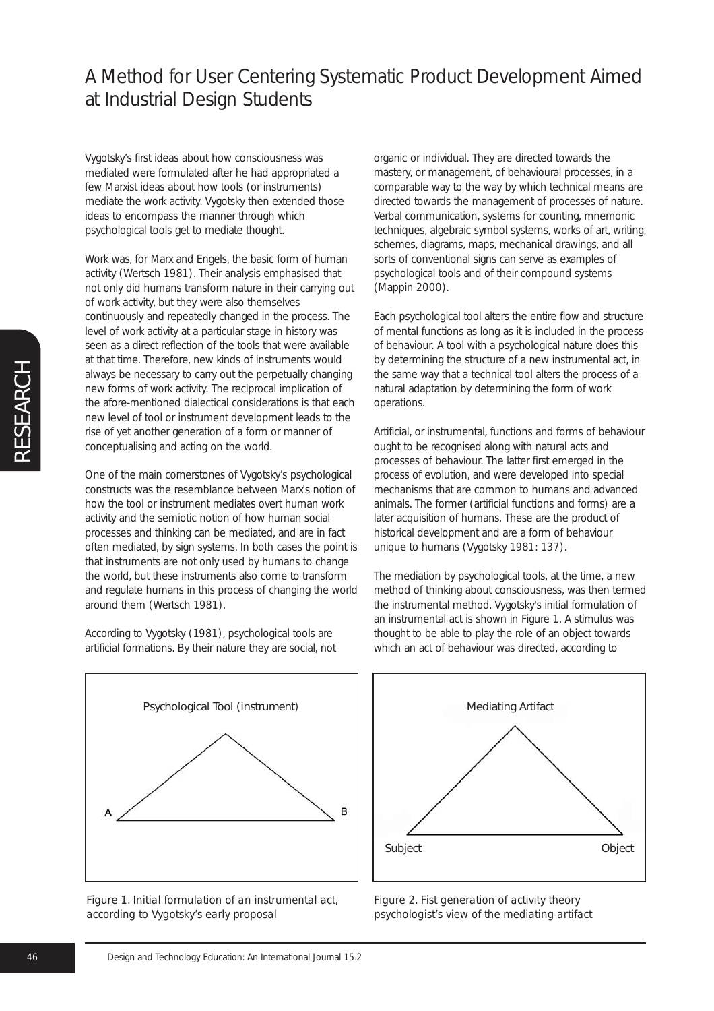Vygotsky's first ideas about how consciousness was mediated were formulated after he had appropriated a few Marxist ideas about how tools (or instruments) mediate the work activity. Vygotsky then extended those ideas to encompass the manner through which psychological tools get to mediate thought.

Work was, for Marx and Engels, the basic form of human activity (Wertsch 1981). Their analysis emphasised that not only did humans transform nature in their carrying out of work activity, but they were also themselves continuously and repeatedly changed in the process. The level of work activity at a particular stage in history was seen as a direct reflection of the tools that were available at that time. Therefore, new kinds of instruments would always be necessary to carry out the perpetually changing new forms of work activity. The reciprocal implication of the afore-mentioned dialectical considerations is that each new level of tool or instrument development leads to the rise of yet another generation of a form or manner of conceptualising and acting on the world.

One of the main cornerstones of Vygotsky's psychological constructs was the resemblance between Marx's notion of how the tool or instrument mediates overt human work activity and the semiotic notion of how human social processes and thinking can be mediated, and are in fact often mediated, by sign systems. In both cases the point is that instruments are not only used by humans to change the world, but these instruments also come to transform and regulate humans in this process of changing the world around them (Wertsch 1981).

According to Vygotsky (1981), psychological tools are artificial formations. By their nature they are social, not organic or individual. They are directed towards the mastery, or management, of behavioural processes, in a comparable way to the way by which technical means are directed towards the management of processes of nature. Verbal communication, systems for counting, mnemonic techniques, algebraic symbol systems, works of art, writing, schemes, diagrams, maps, mechanical drawings, and all sorts of conventional signs can serve as examples of psychological tools and of their compound systems (Mappin 2000).

Each psychological tool alters the entire flow and structure of mental functions as long as it is included in the process of behaviour. A tool with a psychological nature does this by determining the structure of a new instrumental act, in the same way that a technical tool alters the process of a natural adaptation by determining the form of work operations.

Artificial, or instrumental, functions and forms of behaviour ought to be recognised along with natural acts and processes of behaviour. The latter first emerged in the process of evolution, and were developed into special mechanisms that are common to humans and advanced animals. The former (artificial functions and forms) are a later acquisition of humans. These are the product of historical development and are a form of behaviour unique to humans (Vygotsky 1981: 137).

The mediation by psychological tools, at the time, a new method of thinking about consciousness, was then termed the instrumental method. Vygotsky's initial formulation of an instrumental act is shown in Figure 1. A stimulus was thought to be able to play the role of an object towards which an act of behaviour was directed, according to



*Figure 1. Initial formulation of an instrumental act, according to Vygotsky's early proposal*



*Figure 2. Fist generation of activity theory psychologist's view of the mediating artifact*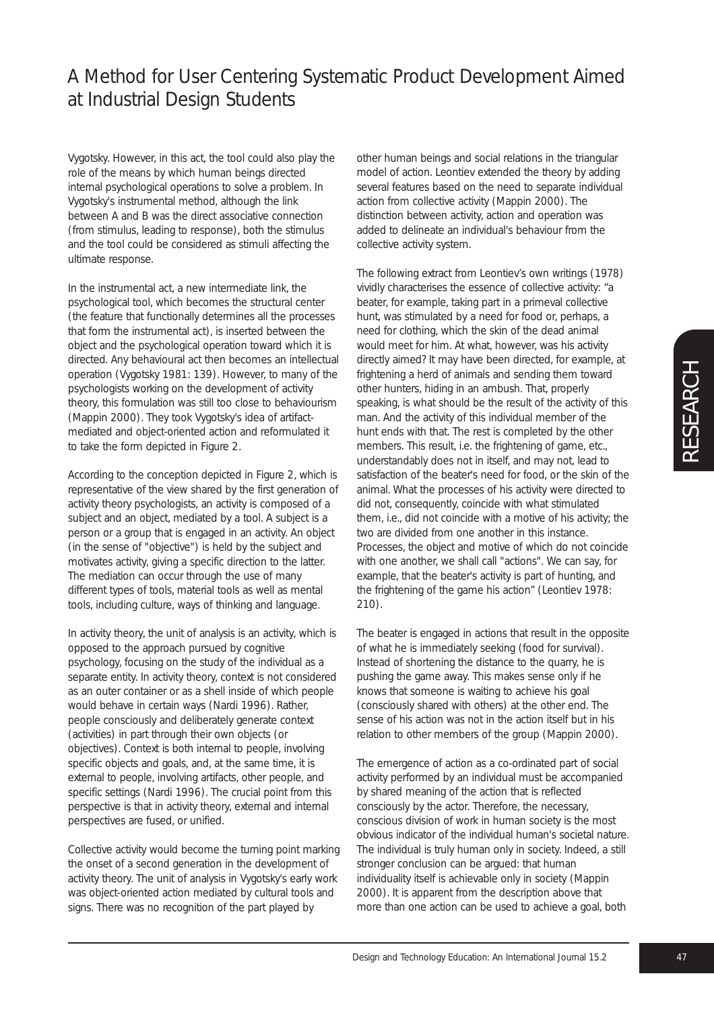Vygotsky. However, in this act, the tool could also play the role of the means by which human beings directed internal psychological operations to solve a problem. In Vygotsky's instrumental method, although the link between A and B was the direct associative connection (from stimulus, leading to response), both the stimulus and the tool could be considered as stimuli affecting the ultimate response.

In the instrumental act, a new intermediate link, the psychological tool, which becomes the structural center (the feature that functionally determines all the processes that form the instrumental act), is inserted between the object and the psychological operation toward which it is directed. Any behavioural act then becomes an intellectual operation (Vygotsky 1981: 139). However, to many of the psychologists working on the development of activity theory, this formulation was still too close to behaviourism (Mappin 2000). They took Vygotsky's idea of artifactmediated and object-oriented action and reformulated it to take the form depicted in Figure 2.

According to the conception depicted in Figure 2, which is representative of the view shared by the first generation of activity theory psychologists, an activity is composed of a subject and an object, mediated by a tool. A subject is a person or a group that is engaged in an activity. An object (in the sense of "objective") is held by the subject and motivates activity, giving a specific direction to the latter. The mediation can occur through the use of many different types of tools, material tools as well as mental tools, including culture, ways of thinking and language.

In activity theory, the unit of analysis is an activity, which is opposed to the approach pursued by cognitive psychology, focusing on the study of the individual as a separate entity. In activity theory, context is not considered as an outer container or as a shell inside of which people would behave in certain ways (Nardi 1996). Rather, people consciously and deliberately generate context (activities) in part through their own objects (or objectives). Context is both internal to people, involving specific objects and goals, and, at the same time, it is external to people, involving artifacts, other people, and specific settings (Nardi 1996). The crucial point from this perspective is that in activity theory, external and internal perspectives are fused, or unified.

Collective activity would become the turning point marking the onset of a second generation in the development of activity theory. The unit of analysis in Vygotsky's early work was object-oriented action mediated by cultural tools and signs. There was no recognition of the part played by

other human beings and social relations in the triangular model of action. Leontiev extended the theory by adding several features based on the need to separate individual action from collective activity (Mappin 2000). The distinction between activity, action and operation was added to delineate an individual's behaviour from the collective activity system.

The following extract from Leontiev's own writings (1978) vividly characterises the essence of collective activity: "a beater, for example, taking part in a primeval collective hunt, was stimulated by a need for food or, perhaps, a need for clothing, which the skin of the dead animal would meet for him. At what, however, was his activity directly aimed? It may have been directed, for example, at frightening a herd of animals and sending them toward other hunters, hiding in an ambush. That, properly speaking, is what should be the result of the activity of this man. And the activity of this individual member of the hunt ends with that. The rest is completed by the other members. This result, i.e. the frightening of game, etc., understandably does not in itself, and may not, lead to satisfaction of the beater's need for food, or the skin of the animal. What the processes of his activity were directed to did not, consequently, coincide with what stimulated them, i.e., did not coincide with a motive of his activity; the two are divided from one another in this instance. Processes, the object and motive of which do not coincide with one another, we shall call "actions". We can say, for example, that the beater's activity is part of hunting, and the frightening of the game his action" (Leontiev 1978: 210).

The beater is engaged in actions that result in the opposite of what he is immediately seeking (food for survival). Instead of shortening the distance to the quarry, he is pushing the game away. This makes sense only if he knows that someone is waiting to achieve his goal (consciously shared with others) at the other end. The sense of his action was not in the action itself but in his relation to other members of the group (Mappin 2000).

The emergence of action as a co-ordinated part of social activity performed by an individual must be accompanied by shared meaning of the action that is reflected consciously by the actor. Therefore, the necessary, conscious division of work in human society is the most obvious indicator of the individual human's societal nature. The individual is truly human only in society. Indeed, a still stronger conclusion can be argued: that human individuality itself is achievable only in society (Mappin 2000). It is apparent from the description above that more than one action can be used to achieve a goal, both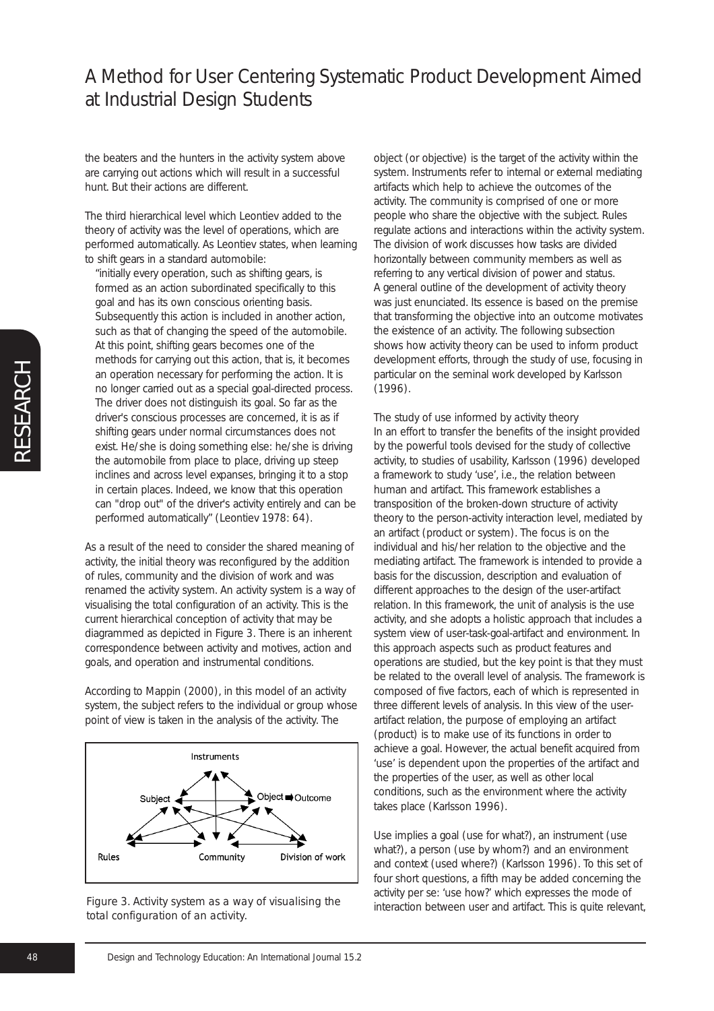the beaters and the hunters in the activity system above are carrying out actions which will result in a successful hunt. But their actions are different.

The third hierarchical level which Leontiev added to the theory of activity was the level of operations, which are performed automatically. As Leontiev states, when learning to shift gears in a standard automobile:

"initially every operation, such as shifting gears, is formed as an action subordinated specifically to this goal and has its own conscious orienting basis. Subsequently this action is included in another action, such as that of changing the speed of the automobile. At this point, shifting gears becomes one of the methods for carrying out this action, that is, it becomes an operation necessary for performing the action. It is no longer carried out as a special goal-directed process. The driver does not distinguish its goal. So far as the driver's conscious processes are concerned, it is as if shifting gears under normal circumstances does not exist. He/she is doing something else: he/she is driving the automobile from place to place, driving up steep inclines and across level expanses, bringing it to a stop in certain places. Indeed, we know that this operation can "drop out" of the driver's activity entirely and can be performed automatically" (Leontiev 1978: 64).

As a result of the need to consider the shared meaning of activity, the initial theory was reconfigured by the addition of rules, community and the division of work and was renamed the activity system. An activity system is a way of visualising the total configuration of an activity. This is the current hierarchical conception of activity that may be diagrammed as depicted in Figure 3. There is an inherent correspondence between activity and motives, action and goals, and operation and instrumental conditions.

According to Mappin (2000), in this model of an activity system, the subject refers to the individual or group whose point of view is taken in the analysis of the activity. The





object (or objective) is the target of the activity within the system. Instruments refer to internal or external mediating artifacts which help to achieve the outcomes of the activity. The community is comprised of one or more people who share the objective with the subject. Rules regulate actions and interactions within the activity system. The division of work discusses how tasks are divided horizontally between community members as well as referring to any vertical division of power and status. A general outline of the development of activity theory was just enunciated. Its essence is based on the premise that transforming the objective into an outcome motivates the existence of an activity. The following subsection shows how activity theory can be used to inform product development efforts, through the study of use, focusing in particular on the seminal work developed by Karlsson (1996).

*The study of use informed by activity theory* In an effort to transfer the benefits of the insight provided by the powerful tools devised for the study of collective activity, to studies of usability, Karlsson (1996) developed a framework to study 'use', i.e., the relation between human and artifact. This framework establishes a transposition of the broken-down structure of activity theory to the person-activity interaction level, mediated by an artifact (product or system). The focus is on the individual and his/her relation to the objective and the mediating artifact. The framework is intended to provide a basis for the discussion, description and evaluation of different approaches to the design of the user-artifact relation. In this framework, the unit of analysis is the use activity, and she adopts a holistic approach that includes a system view of user-task-goal-artifact and environment. In this approach aspects such as product features and operations are studied, but the key point is that they must be related to the overall level of analysis. The framework is composed of five factors, each of which is represented in three different levels of analysis. In this view of the userartifact relation, the purpose of employing an artifact (product) is to make use of its functions in order to achieve a goal. However, the actual benefit acquired from 'use' is dependent upon the properties of the artifact and the properties of the user, as well as other local conditions, such as the environment where the activity takes place (Karlsson 1996).

Use implies a goal (use for what?), an instrument (use what?), a person (use by whom?) and an environment and context (used where?) (Karlsson 1996). To this set of four short questions, a fifth may be added concerning the activity per se: 'use how?' which expresses the mode of interaction between user and artifact. This is quite relevant,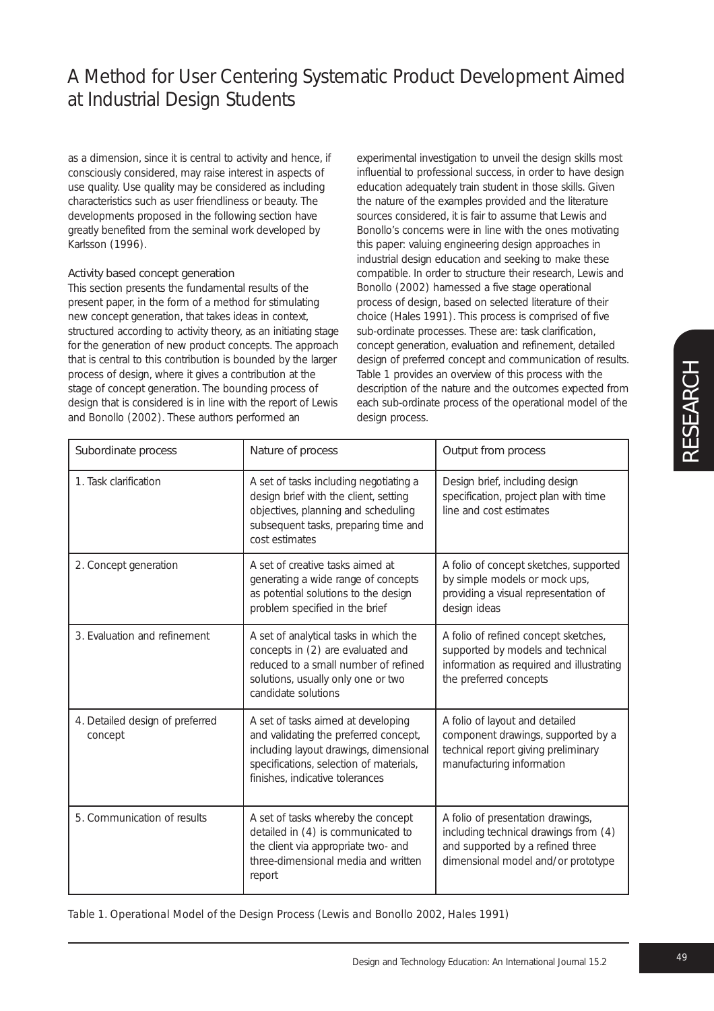as a dimension, since it is central to activity and hence, if consciously considered, may raise interest in aspects of use quality. Use quality may be considered as including characteristics such as user friendliness or beauty. The developments proposed in the following section have greatly benefited from the seminal work developed by Karlsson (1996).

### Activity based concept generation

This section presents the fundamental results of the present paper, in the form of a method for stimulating new concept generation, that takes ideas in context, structured according to activity theory, as an initiating stage for the generation of new product concepts. The approach that is central to this contribution is bounded by the larger process of design, where it gives a contribution at the stage of concept generation. The bounding process of design that is considered is in line with the report of Lewis and Bonollo (2002). These authors performed an

experimental investigation to unveil the design skills most influential to professional success, in order to have design education adequately train student in those skills. Given the nature of the examples provided and the literature sources considered, it is fair to assume that Lewis and Bonollo's concerns were in line with the ones motivating this paper: valuing engineering design approaches in industrial design education and seeking to make these compatible. In order to structure their research, Lewis and Bonollo (2002) harnessed a five stage operational process of design, based on selected literature of their choice (Hales 1991). This process is comprised of five sub-ordinate processes. These are: task clarification, concept generation, evaluation and refinement, detailed design of preferred concept and communication of results. Table 1 provides an overview of this process with the description of the nature and the outcomes expected from each sub-ordinate process of the operational model of the design process.

| Subordinate process                        | Nature of process                                                                                                                                                                                   | Output from process                                                                                                                                  |
|--------------------------------------------|-----------------------------------------------------------------------------------------------------------------------------------------------------------------------------------------------------|------------------------------------------------------------------------------------------------------------------------------------------------------|
| 1. Task clarification                      | A set of tasks including negotiating a<br>design brief with the client, setting<br>objectives, planning and scheduling<br>subsequent tasks, preparing time and<br>cost estimates                    | Design brief, including design<br>specification, project plan with time<br>line and cost estimates                                                   |
| 2. Concept generation                      | A set of creative tasks aimed at<br>generating a wide range of concepts<br>as potential solutions to the design<br>problem specified in the brief                                                   | A folio of concept sketches, supported<br>by simple models or mock ups,<br>providing a visual representation of<br>design ideas                      |
| 3. Evaluation and refinement               | A set of analytical tasks in which the<br>concepts in (2) are evaluated and<br>reduced to a small number of refined<br>solutions, usually only one or two<br>candidate solutions                    | A folio of refined concept sketches,<br>supported by models and technical<br>information as required and illustrating<br>the preferred concepts      |
| 4. Detailed design of preferred<br>concept | A set of tasks aimed at developing<br>and validating the preferred concept,<br>including layout drawings, dimensional<br>specifications, selection of materials,<br>finishes, indicative tolerances | A folio of layout and detailed<br>component drawings, supported by a<br>technical report giving preliminary<br>manufacturing information             |
| 5. Communication of results                | A set of tasks whereby the concept<br>detailed in (4) is communicated to<br>the client via appropriate two- and<br>three-dimensional media and written<br>report                                    | A folio of presentation drawings,<br>including technical drawings from (4)<br>and supported by a refined three<br>dimensional model and/or prototype |

*Table 1. Operational Model of the Design Process (Lewis and Bonollo 2002, Hales 1991)*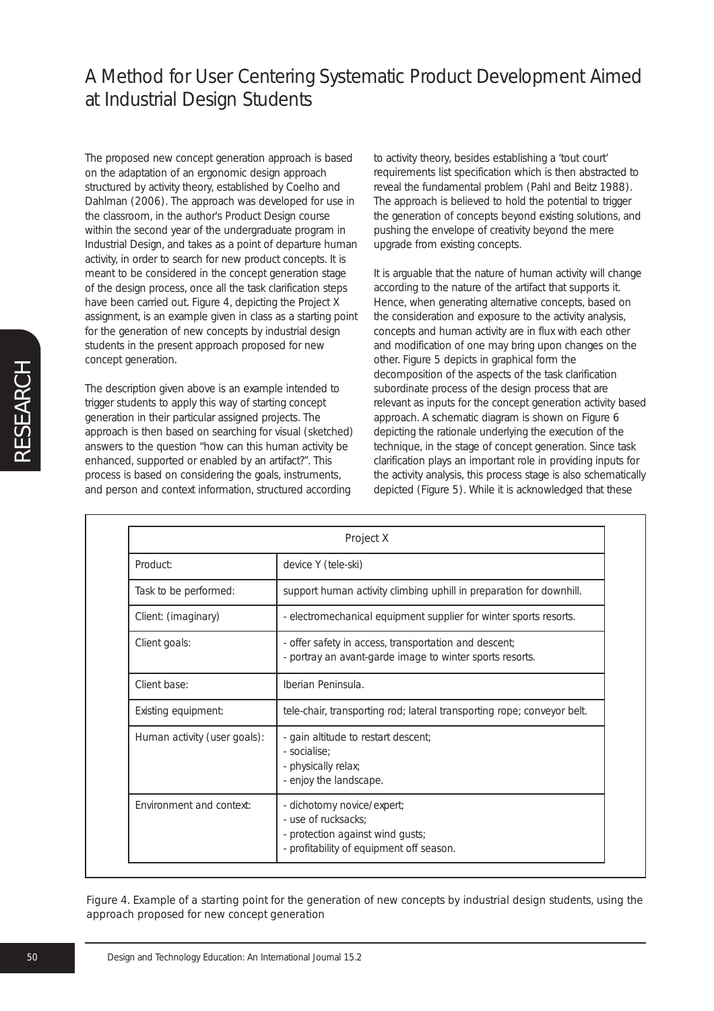The proposed new concept generation approach is based on the adaptation of an ergonomic design approach structured by activity theory, established by Coelho and Dahlman (2006). The approach was developed for use in the classroom, in the author's Product Design course within the second year of the undergraduate program in Industrial Design, and takes as a point of departure human activity, in order to search for new product concepts. It is meant to be considered in the concept generation stage of the design process, once all the task clarification steps have been carried out. Figure 4, depicting the Project X assignment, is an example given in class as a starting point for the generation of new concepts by industrial design students in the present approach proposed for new concept generation.

The description given above is an example intended to trigger students to apply this way of starting concept generation in their particular assigned projects. The approach is then based on searching for visual (sketched) answers to the question "how can this human activity be enhanced, supported or enabled by an artifact?". This process is based on considering the goals, instruments, and person and context information, structured according

to activity theory, besides establishing a 'tout court' requirements list specification which is then abstracted to reveal the fundamental problem (Pahl and Beitz 1988). The approach is believed to hold the potential to trigger the generation of concepts beyond existing solutions, and pushing the envelope of creativity beyond the mere upgrade from existing concepts.

It is arguable that the nature of human activity will change according to the nature of the artifact that supports it. Hence, when generating alternative concepts, based on the consideration and exposure to the activity analysis, concepts and human activity are in flux with each other and modification of one may bring upon changes on the other. Figure 5 depicts in graphical form the decomposition of the aspects of the task clarification subordinate process of the design process that are relevant as inputs for the concept generation activity based approach. A schematic diagram is shown on Figure 6 depicting the rationale underlying the execution of the technique, in the stage of concept generation. Since task clarification plays an important role in providing inputs for the activity analysis, this process stage is also schematically depicted (Figure 5). While it is acknowledged that these

| <b>Project X</b>             |                                                                                                                                   |  |
|------------------------------|-----------------------------------------------------------------------------------------------------------------------------------|--|
| Product:                     | device Y (tele-ski)                                                                                                               |  |
| Task to be performed:        | support human activity climbing uphill in preparation for downhill.                                                               |  |
| Client: (imaginary)          | - electromechanical equipment supplier for winter sports resorts.                                                                 |  |
| Client goals:                | - offer safety in access, transportation and descent;<br>- portray an avant-garde image to winter sports resorts.                 |  |
| Client base:                 | Iberian Peninsula.                                                                                                                |  |
| Existing equipment:          | tele-chair, transporting rod; lateral transporting rope; conveyor belt.                                                           |  |
| Human activity (user goals): | - gain altitude to restart descent;<br>- socialise:<br>- physically relax;<br>- enjoy the landscape.                              |  |
| Environment and context:     | - dichotomy novice/expert;<br>- use of rucksacks;<br>- protection against wind gusts;<br>- profitability of equipment off season. |  |

*Figure 4. Example of a starting point for the generation of new concepts by industrial design students, using the approach proposed for new concept generation*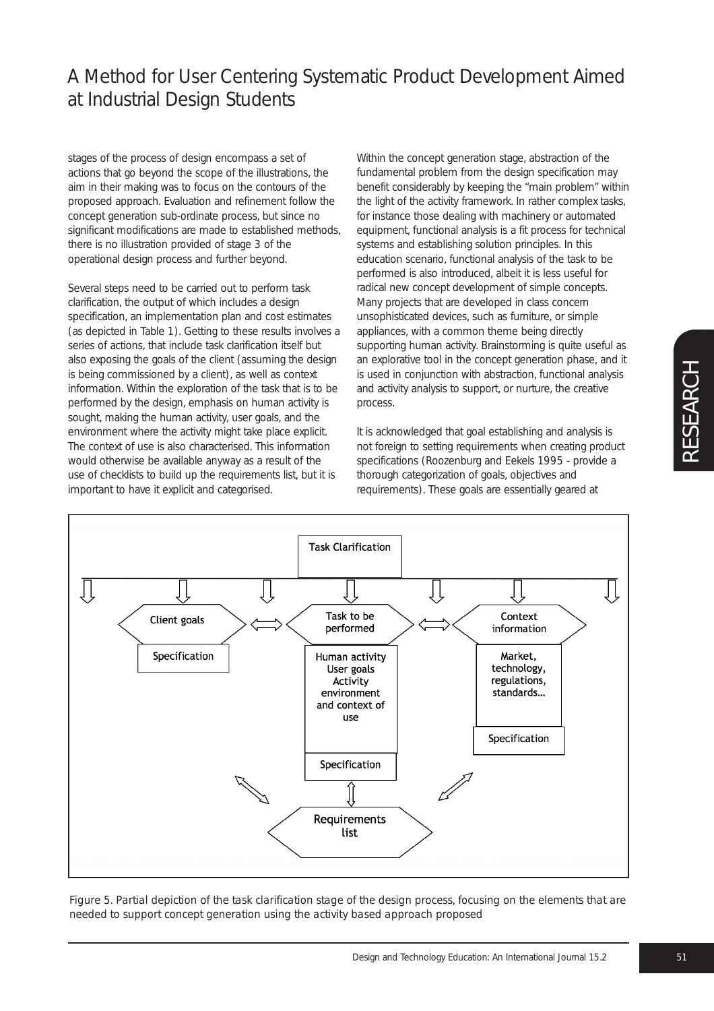stages of the process of design encompass a set of actions that go beyond the scope of the illustrations, the aim in their making was to focus on the contours of the proposed approach. Evaluation and refinement follow the concept generation sub-ordinate process, but since no significant modifications are made to established methods, there is no illustration provided of stage 3 of the operational design process and further beyond.

Several steps need to be carried out to perform task clarification, the output of which includes a design specification, an implementation plan and cost estimates (as depicted in Table 1). Getting to these results involves a series of actions, that include task clarification itself but also exposing the goals of the client (assuming the design is being commissioned by a client), as well as context information. Within the exploration of the task that is to be performed by the design, emphasis on human activity is sought, making the human activity, user goals, and the environment where the activity might take place explicit. The context of use is also characterised. This information would otherwise be available anyway as a result of the use of checklists to build up the requirements list, but it is important to have it explicit and categorised.

Within the concept generation stage, abstraction of the fundamental problem from the design specification may benefit considerably by keeping the "main problem" within the light of the activity framework. In rather complex tasks, for instance those dealing with machinery or automated equipment, functional analysis is a fit process for technical systems and establishing solution principles. In this education scenario, functional analysis of the task to be performed is also introduced, albeit it is less useful for radical new concept development of simple concepts. Many projects that are developed in class concern unsophisticated devices, such as furniture, or simple appliances, with a common theme being directly supporting human activity. Brainstorming is quite useful as an explorative tool in the concept generation phase, and it is used in conjunction with abstraction, functional analysis and activity analysis to support, or nurture, the creative process.

It is acknowledged that goal establishing and analysis is not foreign to setting requirements when creating product specifications (Roozenburg and Eekels 1995 - provide a thorough categorization of goals, objectives and requirements). These goals are essentially geared at



*Figure 5. Partial depiction of the task clarification stage of the design process, focusing on the elements that are needed to support concept generation using the activity based approach proposed*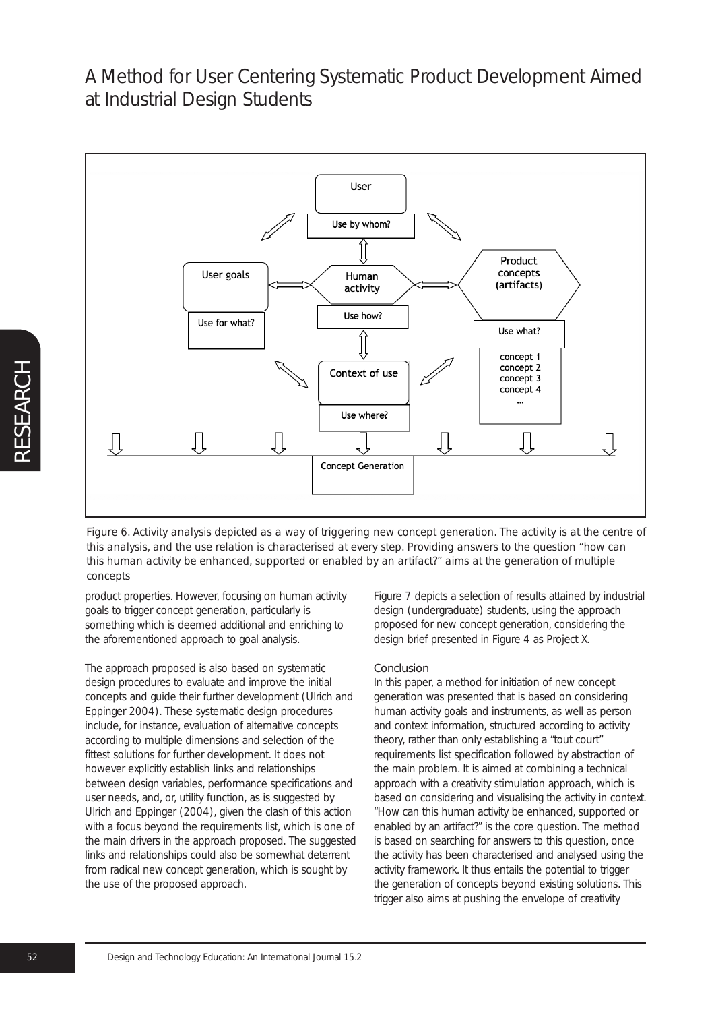

*Figure 6. Activity analysis depicted as a way of triggering new concept generation. The activity is at the centre of this analysis, and the use relation is characterised at every step. Providing answers to the question "how can this human activity be enhanced, supported or enabled by an artifact?" aims at the generation of multiple concepts*

product properties. However, focusing on human activity goals to trigger concept generation, particularly is something which is deemed additional and enriching to the aforementioned approach to goal analysis.

The approach proposed is also based on systematic design procedures to evaluate and improve the initial concepts and guide their further development (Ulrich and Eppinger 2004). These systematic design procedures include, for instance, evaluation of alternative concepts according to multiple dimensions and selection of the fittest solutions for further development. It does not however explicitly establish links and relationships between design variables, performance specifications and user needs, and, or, utility function, as is suggested by Ulrich and Eppinger (2004), given the clash of this action with a focus beyond the requirements list, which is one of the main drivers in the approach proposed. The suggested links and relationships could also be somewhat deterrent from radical new concept generation, which is sought by the use of the proposed approach.

Figure 7 depicts a selection of results attained by industrial design (undergraduate) students, using the approach proposed for new concept generation, considering the design brief presented in Figure 4 as Project X.

#### Conclusion

In this paper, a method for initiation of new concept generation was presented that is based on considering human activity goals and instruments, as well as person and context information, structured according to activity theory, rather than only establishing a "tout court" requirements list specification followed by abstraction of the main problem. It is aimed at combining a technical approach with a creativity stimulation approach, which is based on considering and visualising the activity in context. "How can this human activity be enhanced, supported or enabled by an artifact?" is the core question. The method is based on searching for answers to this question, once the activity has been characterised and analysed using the activity framework. It thus entails the potential to trigger the generation of concepts beyond existing solutions. This trigger also aims at pushing the envelope of creativity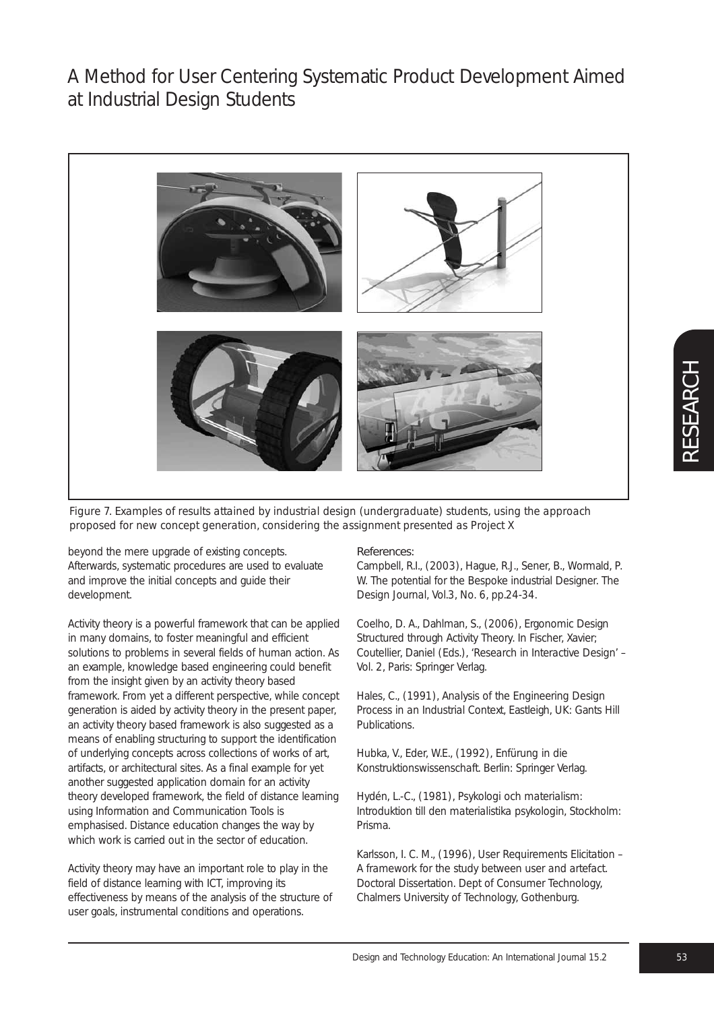

*Figure 7. Examples of results attained by industrial design (undergraduate) students, using the approach proposed for new concept generation, considering the assignment presented as Project X*

beyond the mere upgrade of existing concepts. Afterwards, systematic procedures are used to evaluate and improve the initial concepts and guide their development.

Activity theory is a powerful framework that can be applied in many domains, to foster meaningful and efficient solutions to problems in several fields of human action. As an example, knowledge based engineering could benefit from the insight given by an activity theory based framework. From yet a different perspective, while concept generation is aided by activity theory in the present paper, an activity theory based framework is also suggested as a means of enabling structuring to support the identification of underlying concepts across collections of works of art, artifacts, or architectural sites. As a final example for yet another suggested application domain for an activity theory developed framework, the field of distance learning using Information and Communication Tools is emphasised. Distance education changes the way by which work is carried out in the sector of education.

Activity theory may have an important role to play in the field of distance learning with ICT, improving its effectiveness by means of the analysis of the structure of user goals, instrumental conditions and operations.

#### References:

Campbell, R.I., (2003), Hague, R.J., Sener, B., Wormald, P. W. The potential for the Bespoke industrial Designer. *The Design Journal*, Vol.3, No. 6, pp.24-34.

Coelho, D. A., Dahlman, S., (2006), Ergonomic Design Structured through Activity Theory. In Fischer, Xavier; Coutellier, Daniel (Eds.), '*Research in Interactive Design*' – Vol. 2, Paris: Springer Verlag.

Hales, C., (1991), *Analysis of the Engineering Design Process in an Industrial Context*, Eastleigh, UK: Gants Hill Publications.

Hubka, V., Eder, W.E., (1992), *Enfürung in die Konstruktionswissenschaft*. Berlin: Springer Verlag.

Hydén, L.-C., (1981), *Psykologi och materialism: Introduktion till den materialistika psykologin*, Stockholm: Prisma.

Karlsson, I. C. M., (1996), *User Requirements Elicitation – A framework for the study between user and artefact.* Doctoral Dissertation. Dept of Consumer Technology, Chalmers University of Technology, Gothenburg.